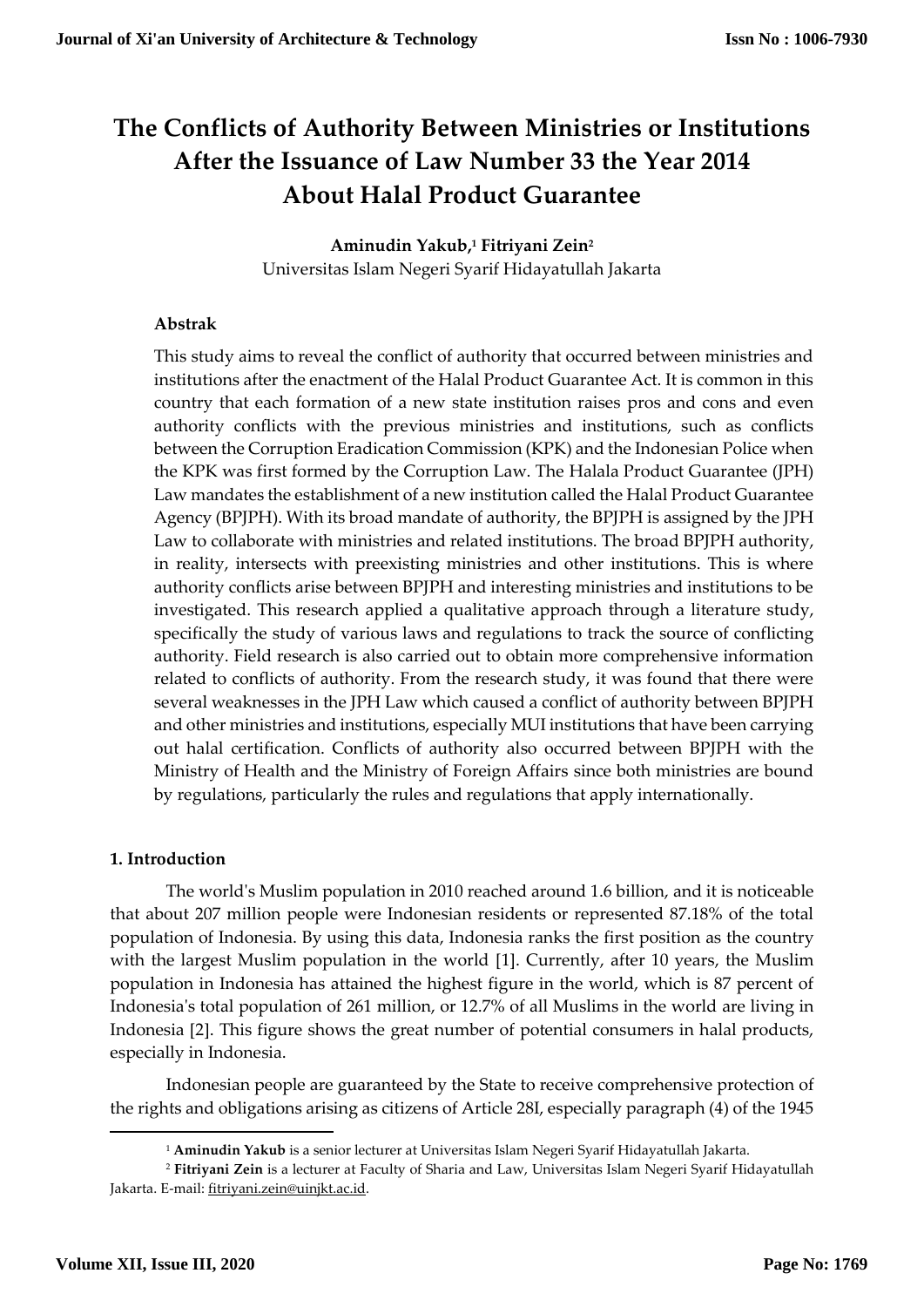# **The Conflicts of Authority Between Ministries or Institutions After the Issuance of Law Number 33 the Year 2014 About Halal Product Guarantee**

# **Aminudin Yakub,<sup>1</sup> Fitriyani Zein<sup>2</sup>**

Universitas Islam Negeri Syarif Hidayatullah Jakarta

# **Abstrak**

This study aims to reveal the conflict of authority that occurred between ministries and institutions after the enactment of the Halal Product Guarantee Act. It is common in this country that each formation of a new state institution raises pros and cons and even authority conflicts with the previous ministries and institutions, such as conflicts between the Corruption Eradication Commission (KPK) and the Indonesian Police when the KPK was first formed by the Corruption Law. The Halala Product Guarantee (JPH) Law mandates the establishment of a new institution called the Halal Product Guarantee Agency (BPJPH). With its broad mandate of authority, the BPJPH is assigned by the JPH Law to collaborate with ministries and related institutions. The broad BPJPH authority, in reality, intersects with preexisting ministries and other institutions. This is where authority conflicts arise between BPJPH and interesting ministries and institutions to be investigated. This research applied a qualitative approach through a literature study, specifically the study of various laws and regulations to track the source of conflicting authority. Field research is also carried out to obtain more comprehensive information related to conflicts of authority. From the research study, it was found that there were several weaknesses in the JPH Law which caused a conflict of authority between BPJPH and other ministries and institutions, especially MUI institutions that have been carrying out halal certification. Conflicts of authority also occurred between BPJPH with the Ministry of Health and the Ministry of Foreign Affairs since both ministries are bound by regulations, particularly the rules and regulations that apply internationally.

# **1. Introduction**

The world's Muslim population in 2010 reached around 1.6 billion, and it is noticeable that about 207 million people were Indonesian residents or represented 87.18% of the total population of Indonesia. By using this data, Indonesia ranks the first position as the country with the largest Muslim population in the world [1]. Currently, after 10 years, the Muslim population in Indonesia has attained the highest figure in the world, which is 87 percent of Indonesia's total population of 261 million, or 12.7% of all Muslims in the world are living in Indonesia [2]. This figure shows the great number of potential consumers in halal products, especially in Indonesia.

Indonesian people are guaranteed by the State to receive comprehensive protection of the rights and obligations arising as citizens of Article 28I, especially paragraph (4) of the 1945

 $\overline{a}$ 

<sup>1</sup> **Aminudin Yakub** is a senior lecturer at Universitas Islam Negeri Syarif Hidayatullah Jakarta.

<sup>2</sup> **Fitriyani Zein** is a lecturer at Faculty of Sharia and Law, Universitas Islam Negeri Syarif Hidayatullah Jakarta. E-mail: [fitriyani.zein@uinjkt.ac.id.](mailto:fitriyani.zein@uinjkt.ac.id)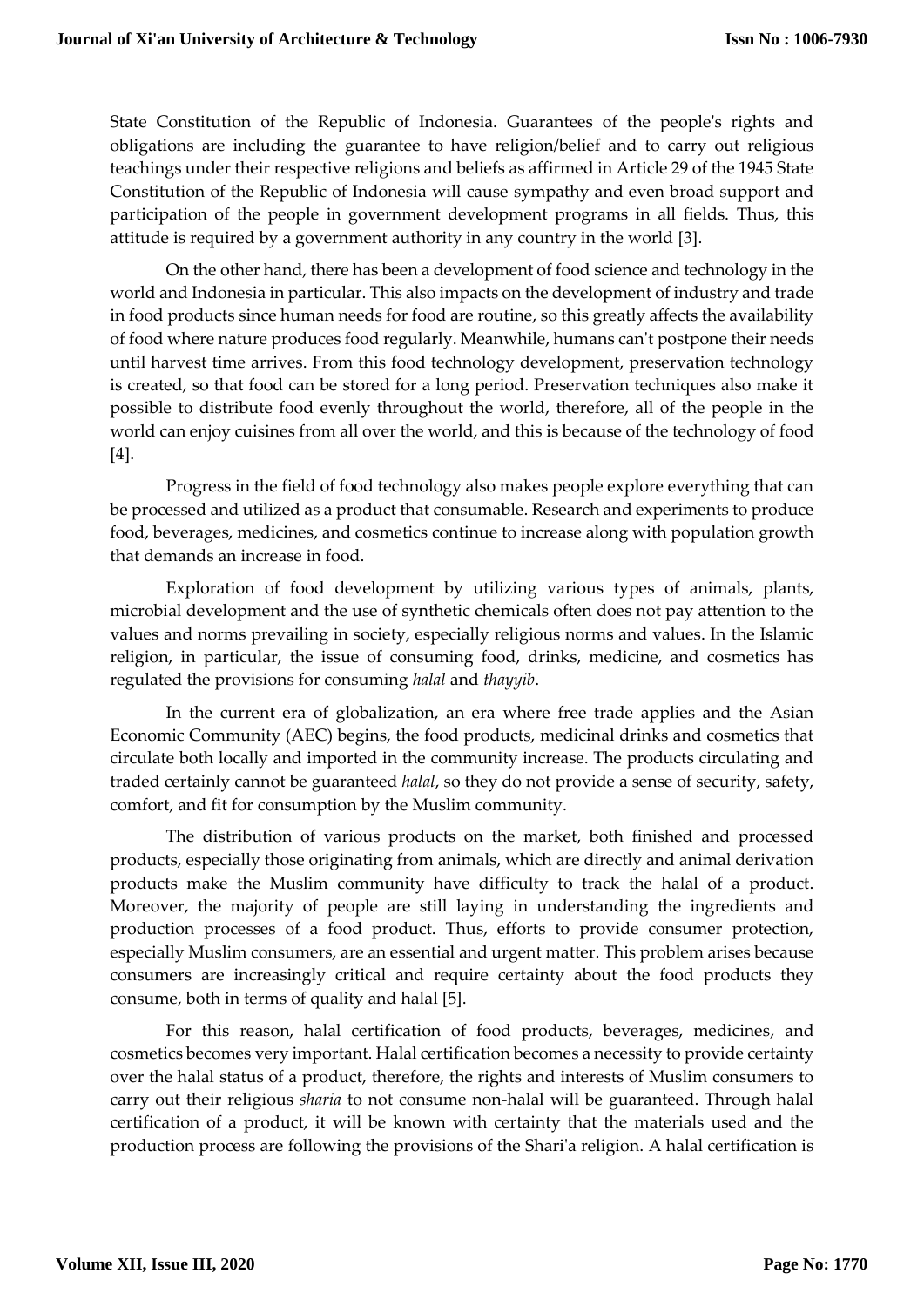State Constitution of the Republic of Indonesia. Guarantees of the people's rights and obligations are including the guarantee to have religion/belief and to carry out religious teachings under their respective religions and beliefs as affirmed in Article 29 of the 1945 State Constitution of the Republic of Indonesia will cause sympathy and even broad support and participation of the people in government development programs in all fields. Thus, this attitude is required by a government authority in any country in the world [3].

On the other hand, there has been a development of food science and technology in the world and Indonesia in particular. This also impacts on the development of industry and trade in food products since human needs for food are routine, so this greatly affects the availability of food where nature produces food regularly. Meanwhile, humans can't postpone their needs until harvest time arrives. From this food technology development, preservation technology is created, so that food can be stored for a long period. Preservation techniques also make it possible to distribute food evenly throughout the world, therefore, all of the people in the world can enjoy cuisines from all over the world, and this is because of the technology of food [4].

Progress in the field of food technology also makes people explore everything that can be processed and utilized as a product that consumable. Research and experiments to produce food, beverages, medicines, and cosmetics continue to increase along with population growth that demands an increase in food.

Exploration of food development by utilizing various types of animals, plants, microbial development and the use of synthetic chemicals often does not pay attention to the values and norms prevailing in society, especially religious norms and values. In the Islamic religion, in particular, the issue of consuming food, drinks, medicine, and cosmetics has regulated the provisions for consuming *halal* and *thayyib*.

In the current era of globalization, an era where free trade applies and the Asian Economic Community (AEC) begins, the food products, medicinal drinks and cosmetics that circulate both locally and imported in the community increase. The products circulating and traded certainly cannot be guaranteed *halal*, so they do not provide a sense of security, safety, comfort, and fit for consumption by the Muslim community.

The distribution of various products on the market, both finished and processed products, especially those originating from animals, which are directly and animal derivation products make the Muslim community have difficulty to track the halal of a product. Moreover, the majority of people are still laying in understanding the ingredients and production processes of a food product. Thus, efforts to provide consumer protection, especially Muslim consumers, are an essential and urgent matter. This problem arises because consumers are increasingly critical and require certainty about the food products they consume, both in terms of quality and halal [5].

For this reason, halal certification of food products, beverages, medicines, and cosmetics becomes very important. Halal certification becomes a necessity to provide certainty over the halal status of a product, therefore, the rights and interests of Muslim consumers to carry out their religious *sharia* to not consume non-halal will be guaranteed. Through halal certification of a product, it will be known with certainty that the materials used and the production process are following the provisions of the Shari'a religion. A halal certification is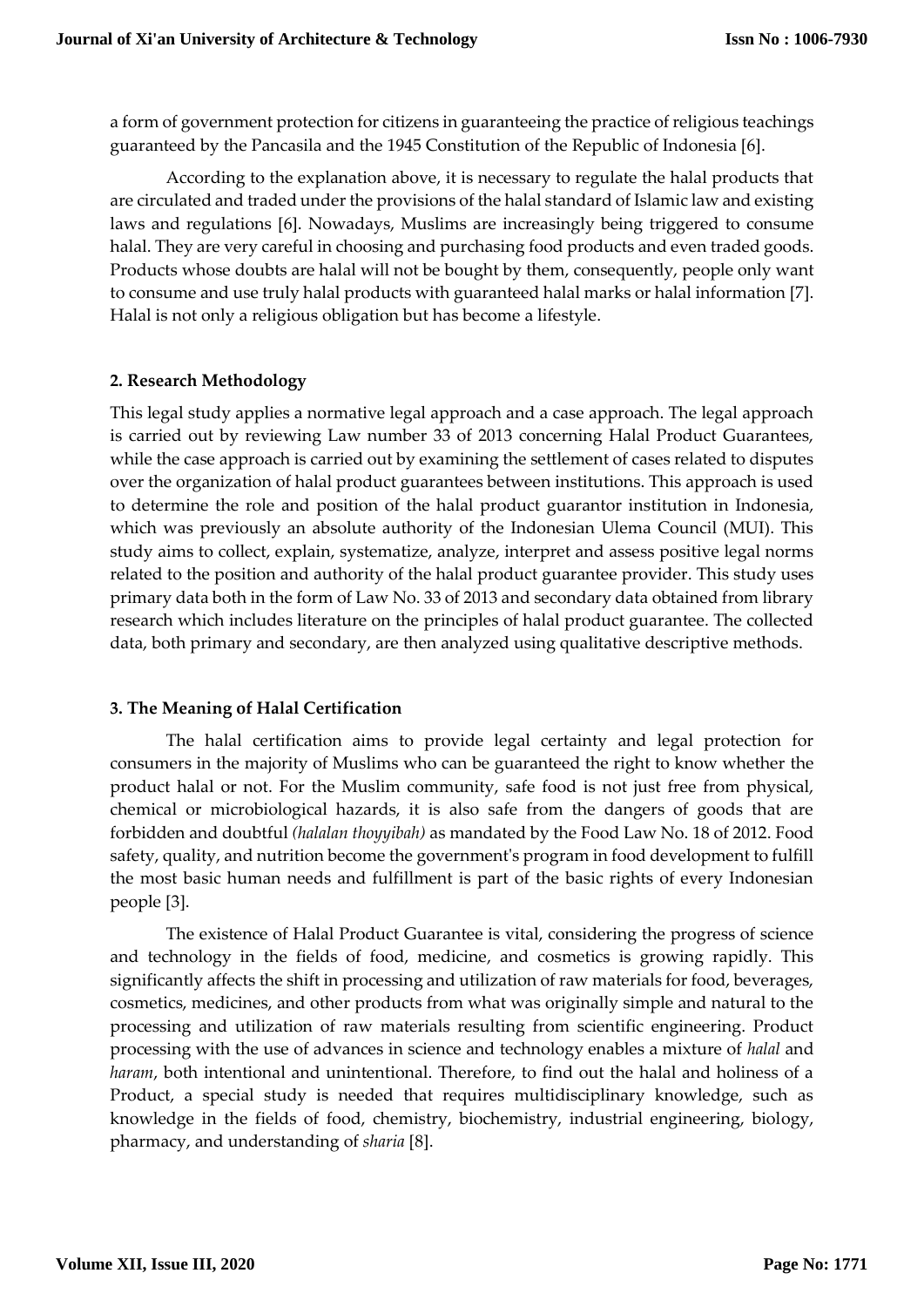a form of government protection for citizens in guaranteeing the practice of religious teachings guaranteed by the Pancasila and the 1945 Constitution of the Republic of Indonesia [6].

According to the explanation above, it is necessary to regulate the halal products that are circulated and traded under the provisions of the halal standard of Islamic law and existing laws and regulations [6]. Nowadays, Muslims are increasingly being triggered to consume halal. They are very careful in choosing and purchasing food products and even traded goods. Products whose doubts are halal will not be bought by them, consequently, people only want to consume and use truly halal products with guaranteed halal marks or halal information [7]. Halal is not only a religious obligation but has become a lifestyle.

# **2. Research Methodology**

This legal study applies a normative legal approach and a case approach. The legal approach is carried out by reviewing Law number 33 of 2013 concerning Halal Product Guarantees, while the case approach is carried out by examining the settlement of cases related to disputes over the organization of halal product guarantees between institutions. This approach is used to determine the role and position of the halal product guarantor institution in Indonesia, which was previously an absolute authority of the Indonesian Ulema Council (MUI). This study aims to collect, explain, systematize, analyze, interpret and assess positive legal norms related to the position and authority of the halal product guarantee provider. This study uses primary data both in the form of Law No. 33 of 2013 and secondary data obtained from library research which includes literature on the principles of halal product guarantee. The collected data, both primary and secondary, are then analyzed using qualitative descriptive methods.

# **3. The Meaning of Halal Certification**

The halal certification aims to provide legal certainty and legal protection for consumers in the majority of Muslims who can be guaranteed the right to know whether the product halal or not. For the Muslim community, safe food is not just free from physical, chemical or microbiological hazards, it is also safe from the dangers of goods that are forbidden and doubtful *(halalan thoyyibah)* as mandated by the Food Law No. 18 of 2012. Food safety, quality, and nutrition become the government's program in food development to fulfill the most basic human needs and fulfillment is part of the basic rights of every Indonesian people [3].

The existence of Halal Product Guarantee is vital, considering the progress of science and technology in the fields of food, medicine, and cosmetics is growing rapidly. This significantly affects the shift in processing and utilization of raw materials for food, beverages, cosmetics, medicines, and other products from what was originally simple and natural to the processing and utilization of raw materials resulting from scientific engineering. Product processing with the use of advances in science and technology enables a mixture of *halal* and *haram*, both intentional and unintentional. Therefore, to find out the halal and holiness of a Product, a special study is needed that requires multidisciplinary knowledge, such as knowledge in the fields of food, chemistry, biochemistry, industrial engineering, biology, pharmacy, and understanding of *sharia* [8].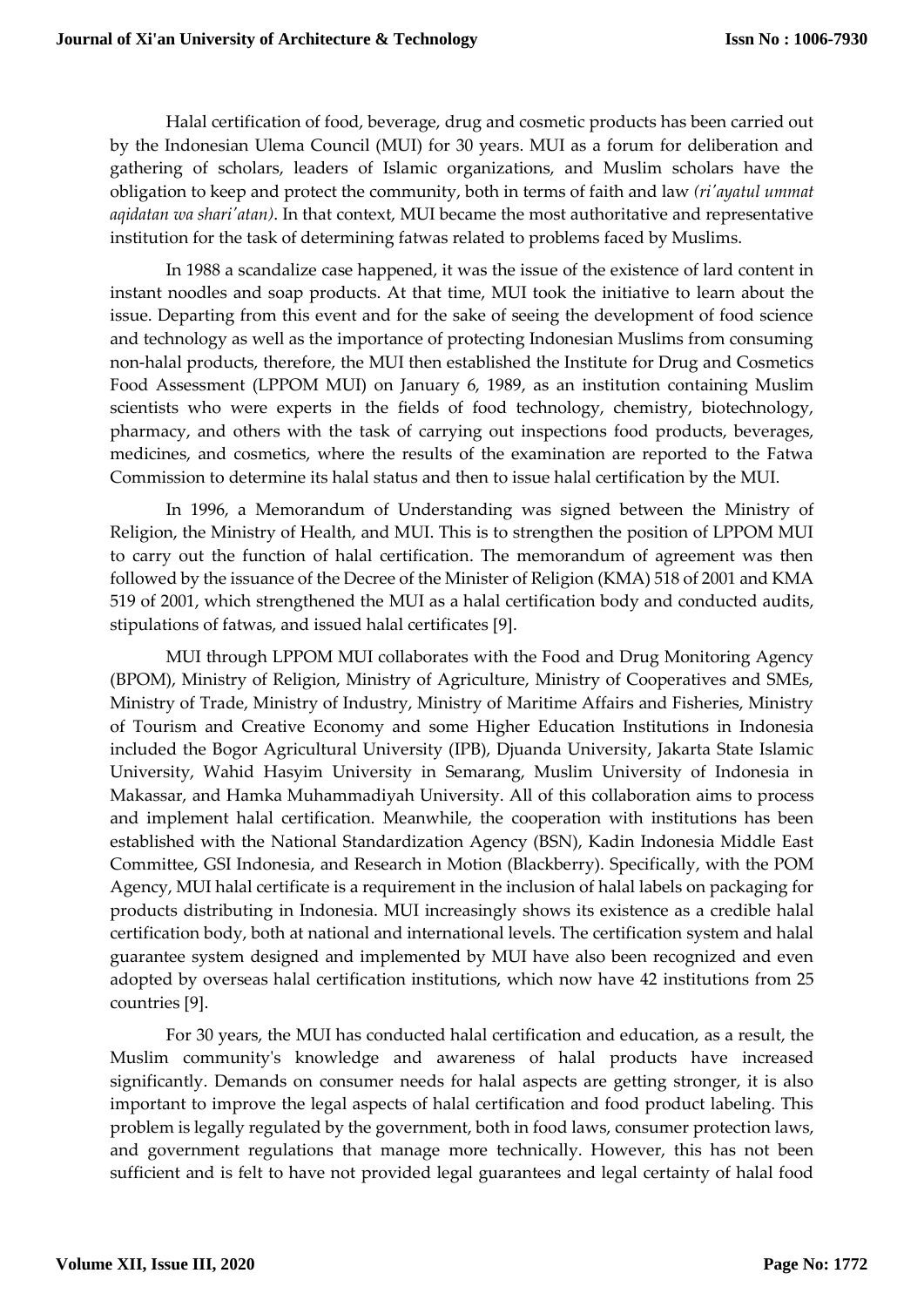Halal certification of food, beverage, drug and cosmetic products has been carried out by the Indonesian Ulema Council (MUI) for 30 years. MUI as a forum for deliberation and gathering of scholars, leaders of Islamic organizations, and Muslim scholars have the obligation to keep and protect the community, both in terms of faith and law *(ri'ayatul ummat aqidatan wa shari'atan)*. In that context, MUI became the most authoritative and representative institution for the task of determining fatwas related to problems faced by Muslims.

In 1988 a scandalize case happened, it was the issue of the existence of lard content in instant noodles and soap products. At that time, MUI took the initiative to learn about the issue. Departing from this event and for the sake of seeing the development of food science and technology as well as the importance of protecting Indonesian Muslims from consuming non-halal products, therefore, the MUI then established the Institute for Drug and Cosmetics Food Assessment (LPPOM MUI) on January 6, 1989, as an institution containing Muslim scientists who were experts in the fields of food technology, chemistry, biotechnology, pharmacy, and others with the task of carrying out inspections food products, beverages, medicines, and cosmetics, where the results of the examination are reported to the Fatwa Commission to determine its halal status and then to issue halal certification by the MUI.

In 1996, a Memorandum of Understanding was signed between the Ministry of Religion, the Ministry of Health, and MUI. This is to strengthen the position of LPPOM MUI to carry out the function of halal certification. The memorandum of agreement was then followed by the issuance of the Decree of the Minister of Religion (KMA) 518 of 2001 and KMA 519 of 2001, which strengthened the MUI as a halal certification body and conducted audits, stipulations of fatwas, and issued halal certificates [9].

MUI through LPPOM MUI collaborates with the Food and Drug Monitoring Agency (BPOM), Ministry of Religion, Ministry of Agriculture, Ministry of Cooperatives and SMEs, Ministry of Trade, Ministry of Industry, Ministry of Maritime Affairs and Fisheries, Ministry of Tourism and Creative Economy and some Higher Education Institutions in Indonesia included the Bogor Agricultural University (IPB), Djuanda University, Jakarta State Islamic University, Wahid Hasyim University in Semarang, Muslim University of Indonesia in Makassar, and Hamka Muhammadiyah University. All of this collaboration aims to process and implement halal certification. Meanwhile, the cooperation with institutions has been established with the National Standardization Agency (BSN), Kadin Indonesia Middle East Committee, GSI Indonesia, and Research in Motion (Blackberry). Specifically, with the POM Agency, MUI halal certificate is a requirement in the inclusion of halal labels on packaging for products distributing in Indonesia. MUI increasingly shows its existence as a credible halal certification body, both at national and international levels. The certification system and halal guarantee system designed and implemented by MUI have also been recognized and even adopted by overseas halal certification institutions, which now have 42 institutions from 25 countries [9].

For 30 years, the MUI has conducted halal certification and education, as a result, the Muslim community's knowledge and awareness of halal products have increased significantly. Demands on consumer needs for halal aspects are getting stronger, it is also important to improve the legal aspects of halal certification and food product labeling. This problem is legally regulated by the government, both in food laws, consumer protection laws, and government regulations that manage more technically. However, this has not been sufficient and is felt to have not provided legal guarantees and legal certainty of halal food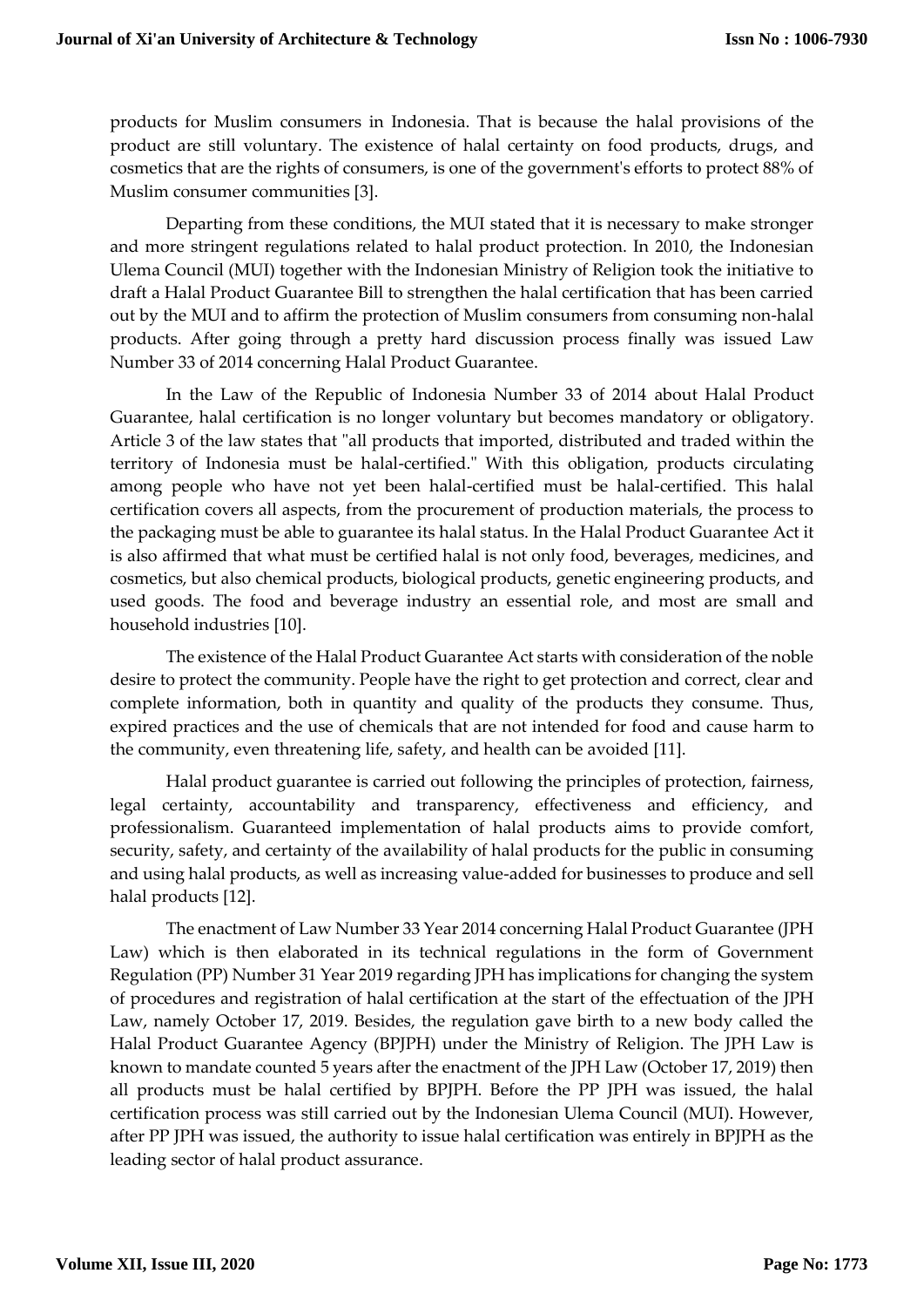products for Muslim consumers in Indonesia. That is because the halal provisions of the product are still voluntary. The existence of halal certainty on food products, drugs, and cosmetics that are the rights of consumers, is one of the government's efforts to protect 88% of Muslim consumer communities [3].

Departing from these conditions, the MUI stated that it is necessary to make stronger and more stringent regulations related to halal product protection. In 2010, the Indonesian Ulema Council (MUI) together with the Indonesian Ministry of Religion took the initiative to draft a Halal Product Guarantee Bill to strengthen the halal certification that has been carried out by the MUI and to affirm the protection of Muslim consumers from consuming non-halal products. After going through a pretty hard discussion process finally was issued Law Number 33 of 2014 concerning Halal Product Guarantee.

In the Law of the Republic of Indonesia Number 33 of 2014 about Halal Product Guarantee, halal certification is no longer voluntary but becomes mandatory or obligatory. Article 3 of the law states that "all products that imported, distributed and traded within the territory of Indonesia must be halal-certified." With this obligation, products circulating among people who have not yet been halal-certified must be halal-certified. This halal certification covers all aspects, from the procurement of production materials, the process to the packaging must be able to guarantee its halal status. In the Halal Product Guarantee Act it is also affirmed that what must be certified halal is not only food, beverages, medicines, and cosmetics, but also chemical products, biological products, genetic engineering products, and used goods. The food and beverage industry an essential role, and most are small and household industries [10].

The existence of the Halal Product Guarantee Act starts with consideration of the noble desire to protect the community. People have the right to get protection and correct, clear and complete information, both in quantity and quality of the products they consume. Thus, expired practices and the use of chemicals that are not intended for food and cause harm to the community, even threatening life, safety, and health can be avoided [11].

Halal product guarantee is carried out following the principles of protection, fairness, legal certainty, accountability and transparency, effectiveness and efficiency, and professionalism. Guaranteed implementation of halal products aims to provide comfort, security, safety, and certainty of the availability of halal products for the public in consuming and using halal products, as well as increasing value-added for businesses to produce and sell halal products [12].

The enactment of Law Number 33 Year 2014 concerning Halal Product Guarantee (JPH Law) which is then elaborated in its technical regulations in the form of Government Regulation (PP) Number 31 Year 2019 regarding JPH has implications for changing the system of procedures and registration of halal certification at the start of the effectuation of the JPH Law, namely October 17, 2019. Besides, the regulation gave birth to a new body called the Halal Product Guarantee Agency (BPJPH) under the Ministry of Religion. The JPH Law is known to mandate counted 5 years after the enactment of the JPH Law (October 17, 2019) then all products must be halal certified by BPJPH. Before the PP JPH was issued, the halal certification process was still carried out by the Indonesian Ulema Council (MUI). However, after PP JPH was issued, the authority to issue halal certification was entirely in BPJPH as the leading sector of halal product assurance.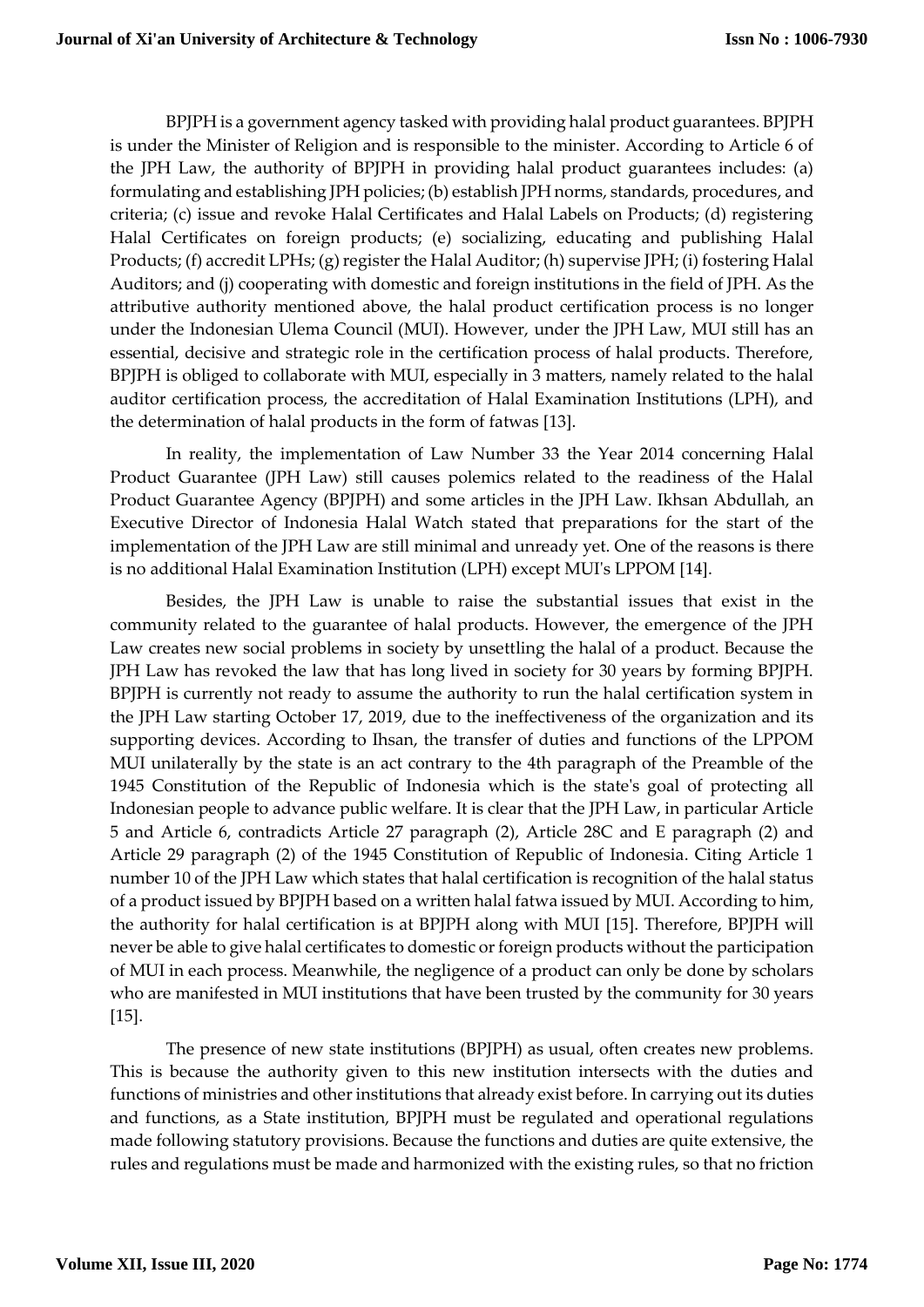BPJPH is a government agency tasked with providing halal product guarantees. BPJPH is under the Minister of Religion and is responsible to the minister. According to Article 6 of the JPH Law, the authority of BPJPH in providing halal product guarantees includes: (a) formulating and establishing JPH policies; (b) establish JPH norms, standards, procedures, and criteria; (c) issue and revoke Halal Certificates and Halal Labels on Products; (d) registering Halal Certificates on foreign products; (e) socializing, educating and publishing Halal Products; (f) accredit LPHs; (g) register the Halal Auditor; (h) supervise JPH; (i) fostering Halal Auditors; and (j) cooperating with domestic and foreign institutions in the field of JPH. As the attributive authority mentioned above, the halal product certification process is no longer under the Indonesian Ulema Council (MUI). However, under the JPH Law, MUI still has an essential, decisive and strategic role in the certification process of halal products. Therefore, BPJPH is obliged to collaborate with MUI, especially in 3 matters, namely related to the halal auditor certification process, the accreditation of Halal Examination Institutions (LPH), and the determination of halal products in the form of fatwas [13].

In reality, the implementation of Law Number 33 the Year 2014 concerning Halal Product Guarantee (JPH Law) still causes polemics related to the readiness of the Halal Product Guarantee Agency (BPJPH) and some articles in the JPH Law. Ikhsan Abdullah, an Executive Director of Indonesia Halal Watch stated that preparations for the start of the implementation of the JPH Law are still minimal and unready yet. One of the reasons is there is no additional Halal Examination Institution (LPH) except MUI's LPPOM [14].

Besides, the JPH Law is unable to raise the substantial issues that exist in the community related to the guarantee of halal products. However, the emergence of the JPH Law creates new social problems in society by unsettling the halal of a product. Because the JPH Law has revoked the law that has long lived in society for 30 years by forming BPJPH. BPJPH is currently not ready to assume the authority to run the halal certification system in the JPH Law starting October 17, 2019, due to the ineffectiveness of the organization and its supporting devices. According to Ihsan, the transfer of duties and functions of the LPPOM MUI unilaterally by the state is an act contrary to the 4th paragraph of the Preamble of the 1945 Constitution of the Republic of Indonesia which is the state's goal of protecting all Indonesian people to advance public welfare. It is clear that the JPH Law, in particular Article 5 and Article 6, contradicts Article 27 paragraph (2), Article 28C and E paragraph (2) and Article 29 paragraph (2) of the 1945 Constitution of Republic of Indonesia. Citing Article 1 number 10 of the JPH Law which states that halal certification is recognition of the halal status of a product issued by BPJPH based on a written halal fatwa issued by MUI. According to him, the authority for halal certification is at BPJPH along with MUI [15]. Therefore, BPJPH will never be able to give halal certificates to domestic or foreign products without the participation of MUI in each process. Meanwhile, the negligence of a product can only be done by scholars who are manifested in MUI institutions that have been trusted by the community for 30 years [15].

The presence of new state institutions (BPJPH) as usual, often creates new problems. This is because the authority given to this new institution intersects with the duties and functions of ministries and other institutions that already exist before. In carrying out its duties and functions, as a State institution, BPJPH must be regulated and operational regulations made following statutory provisions. Because the functions and duties are quite extensive, the rules and regulations must be made and harmonized with the existing rules, so that no friction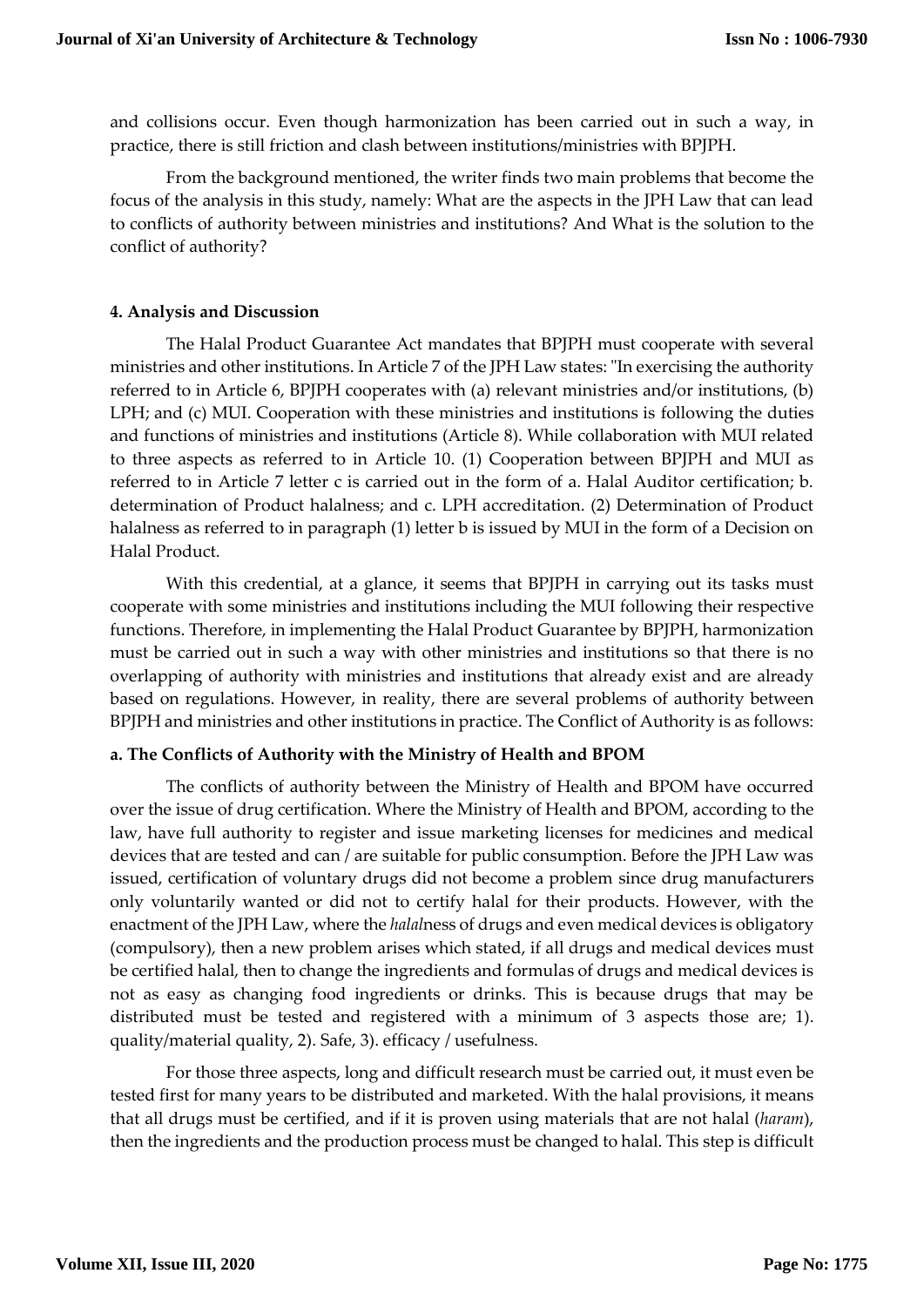and collisions occur. Even though harmonization has been carried out in such a way, in practice, there is still friction and clash between institutions/ministries with BPJPH.

From the background mentioned, the writer finds two main problems that become the focus of the analysis in this study, namely: What are the aspects in the JPH Law that can lead to conflicts of authority between ministries and institutions? And What is the solution to the conflict of authority?

# **4. Analysis and Discussion**

The Halal Product Guarantee Act mandates that BPJPH must cooperate with several ministries and other institutions. In Article 7 of the JPH Law states: "In exercising the authority referred to in Article 6, BPJPH cooperates with (a) relevant ministries and/or institutions, (b) LPH; and (c) MUI. Cooperation with these ministries and institutions is following the duties and functions of ministries and institutions (Article 8). While collaboration with MUI related to three aspects as referred to in Article 10. (1) Cooperation between BPJPH and MUI as referred to in Article 7 letter c is carried out in the form of a. Halal Auditor certification; b. determination of Product halalness; and c. LPH accreditation. (2) Determination of Product halalness as referred to in paragraph (1) letter b is issued by MUI in the form of a Decision on Halal Product.

With this credential, at a glance, it seems that BPJPH in carrying out its tasks must cooperate with some ministries and institutions including the MUI following their respective functions. Therefore, in implementing the Halal Product Guarantee by BPJPH, harmonization must be carried out in such a way with other ministries and institutions so that there is no overlapping of authority with ministries and institutions that already exist and are already based on regulations. However, in reality, there are several problems of authority between BPJPH and ministries and other institutions in practice. The Conflict of Authority is as follows:

# **a. The Conflicts of Authority with the Ministry of Health and BPOM**

The conflicts of authority between the Ministry of Health and BPOM have occurred over the issue of drug certification. Where the Ministry of Health and BPOM, according to the law, have full authority to register and issue marketing licenses for medicines and medical devices that are tested and can / are suitable for public consumption. Before the JPH Law was issued, certification of voluntary drugs did not become a problem since drug manufacturers only voluntarily wanted or did not to certify halal for their products. However, with the enactment of the JPH Law, where the *halal*ness of drugs and even medical devices is obligatory (compulsory), then a new problem arises which stated, if all drugs and medical devices must be certified halal, then to change the ingredients and formulas of drugs and medical devices is not as easy as changing food ingredients or drinks. This is because drugs that may be distributed must be tested and registered with a minimum of 3 aspects those are; 1). quality/material quality, 2). Safe, 3). efficacy / usefulness.

For those three aspects, long and difficult research must be carried out, it must even be tested first for many years to be distributed and marketed. With the halal provisions, it means that all drugs must be certified, and if it is proven using materials that are not halal (*haram*), then the ingredients and the production process must be changed to halal. This step is difficult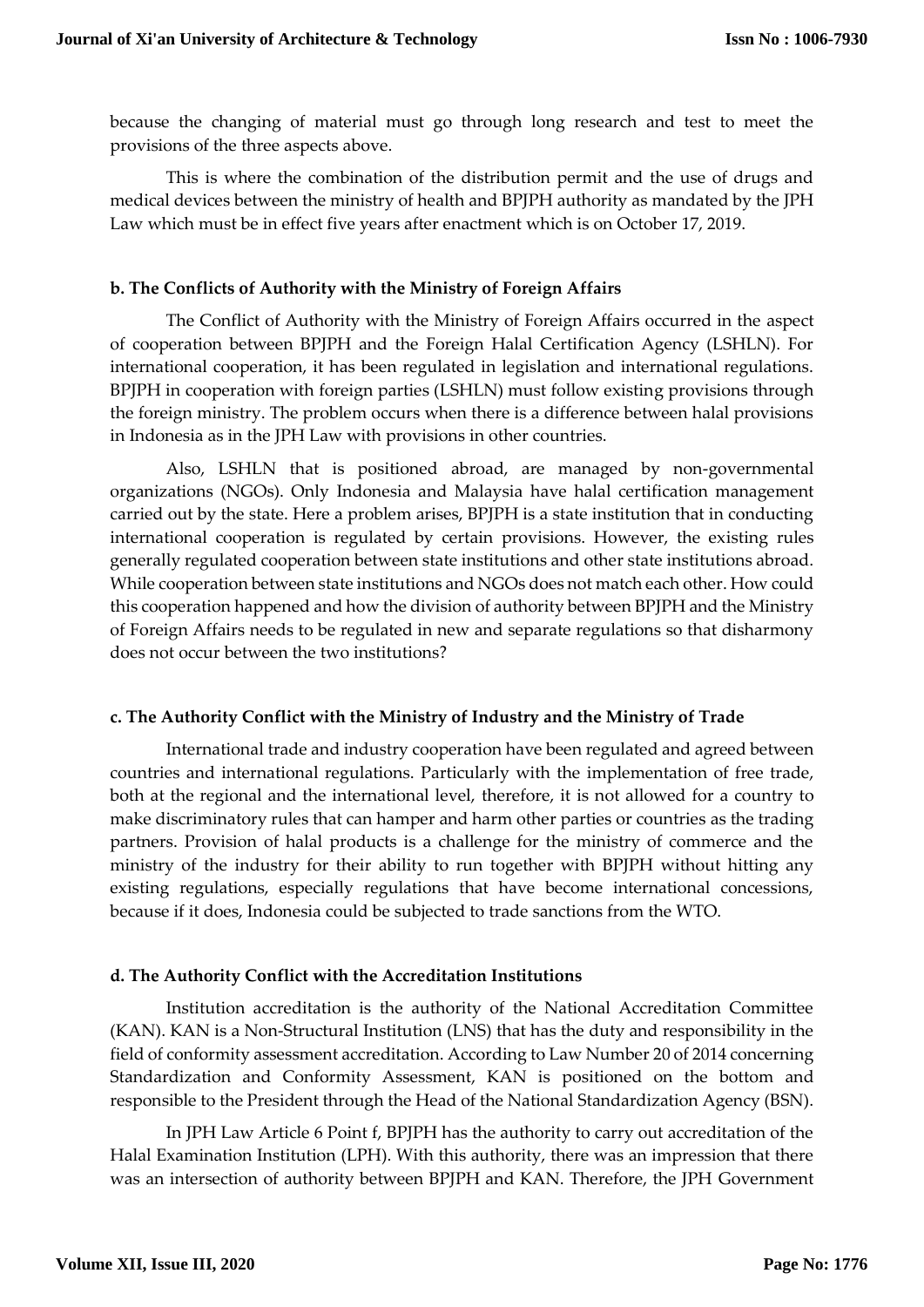because the changing of material must go through long research and test to meet the provisions of the three aspects above.

This is where the combination of the distribution permit and the use of drugs and medical devices between the ministry of health and BPJPH authority as mandated by the JPH Law which must be in effect five years after enactment which is on October 17, 2019.

#### **b. The Conflicts of Authority with the Ministry of Foreign Affairs**

The Conflict of Authority with the Ministry of Foreign Affairs occurred in the aspect of cooperation between BPJPH and the Foreign Halal Certification Agency (LSHLN). For international cooperation, it has been regulated in legislation and international regulations. BPJPH in cooperation with foreign parties (LSHLN) must follow existing provisions through the foreign ministry. The problem occurs when there is a difference between halal provisions in Indonesia as in the JPH Law with provisions in other countries.

Also, LSHLN that is positioned abroad, are managed by non-governmental organizations (NGOs). Only Indonesia and Malaysia have halal certification management carried out by the state. Here a problem arises, BPJPH is a state institution that in conducting international cooperation is regulated by certain provisions. However, the existing rules generally regulated cooperation between state institutions and other state institutions abroad. While cooperation between state institutions and NGOs does not match each other. How could this cooperation happened and how the division of authority between BPJPH and the Ministry of Foreign Affairs needs to be regulated in new and separate regulations so that disharmony does not occur between the two institutions?

# **c. The Authority Conflict with the Ministry of Industry and the Ministry of Trade**

International trade and industry cooperation have been regulated and agreed between countries and international regulations. Particularly with the implementation of free trade, both at the regional and the international level, therefore, it is not allowed for a country to make discriminatory rules that can hamper and harm other parties or countries as the trading partners. Provision of halal products is a challenge for the ministry of commerce and the ministry of the industry for their ability to run together with BPJPH without hitting any existing regulations, especially regulations that have become international concessions, because if it does, Indonesia could be subjected to trade sanctions from the WTO.

#### **d. The Authority Conflict with the Accreditation Institutions**

Institution accreditation is the authority of the National Accreditation Committee (KAN). KAN is a Non-Structural Institution (LNS) that has the duty and responsibility in the field of conformity assessment accreditation. According to Law Number 20 of 2014 concerning Standardization and Conformity Assessment, KAN is positioned on the bottom and responsible to the President through the Head of the National Standardization Agency (BSN).

In JPH Law Article 6 Point f, BPJPH has the authority to carry out accreditation of the Halal Examination Institution (LPH). With this authority, there was an impression that there was an intersection of authority between BPJPH and KAN. Therefore, the JPH Government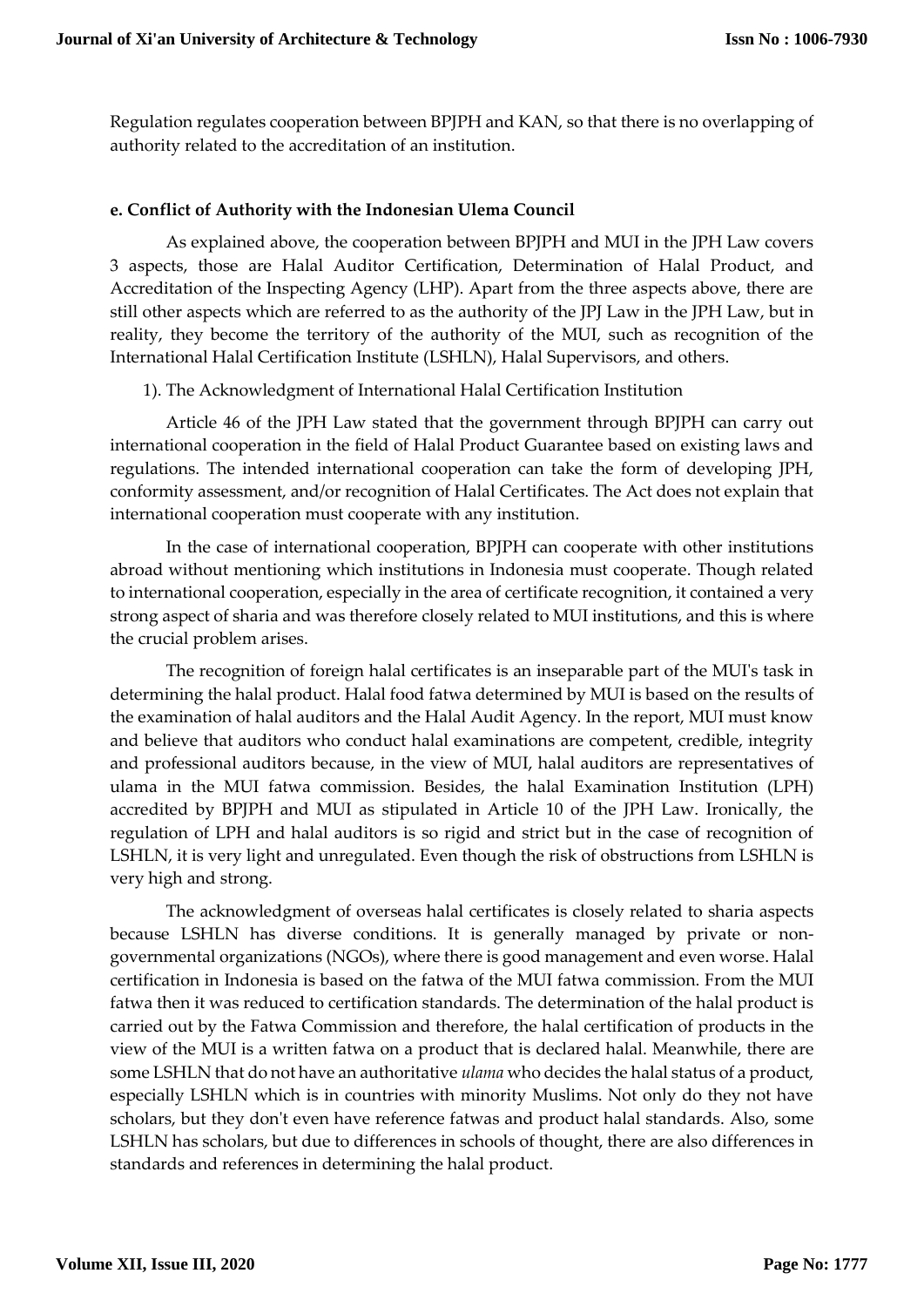Regulation regulates cooperation between BPJPH and KAN, so that there is no overlapping of authority related to the accreditation of an institution.

# **e. Conflict of Authority with the Indonesian Ulema Council**

As explained above, the cooperation between BPJPH and MUI in the JPH Law covers 3 aspects, those are Halal Auditor Certification, Determination of Halal Product, and Accreditation of the Inspecting Agency (LHP). Apart from the three aspects above, there are still other aspects which are referred to as the authority of the JPJ Law in the JPH Law, but in reality, they become the territory of the authority of the MUI, such as recognition of the International Halal Certification Institute (LSHLN), Halal Supervisors, and others.

1). The Acknowledgment of International Halal Certification Institution

Article 46 of the JPH Law stated that the government through BPJPH can carry out international cooperation in the field of Halal Product Guarantee based on existing laws and regulations. The intended international cooperation can take the form of developing JPH, conformity assessment, and/or recognition of Halal Certificates. The Act does not explain that international cooperation must cooperate with any institution.

In the case of international cooperation, BPJPH can cooperate with other institutions abroad without mentioning which institutions in Indonesia must cooperate. Though related to international cooperation, especially in the area of certificate recognition, it contained a very strong aspect of sharia and was therefore closely related to MUI institutions, and this is where the crucial problem arises.

The recognition of foreign halal certificates is an inseparable part of the MUI's task in determining the halal product. Halal food fatwa determined by MUI is based on the results of the examination of halal auditors and the Halal Audit Agency. In the report, MUI must know and believe that auditors who conduct halal examinations are competent, credible, integrity and professional auditors because, in the view of MUI, halal auditors are representatives of ulama in the MUI fatwa commission. Besides, the halal Examination Institution (LPH) accredited by BPJPH and MUI as stipulated in Article 10 of the JPH Law. Ironically, the regulation of LPH and halal auditors is so rigid and strict but in the case of recognition of LSHLN, it is very light and unregulated. Even though the risk of obstructions from LSHLN is very high and strong.

The acknowledgment of overseas halal certificates is closely related to sharia aspects because LSHLN has diverse conditions. It is generally managed by private or nongovernmental organizations (NGOs), where there is good management and even worse. Halal certification in Indonesia is based on the fatwa of the MUI fatwa commission. From the MUI fatwa then it was reduced to certification standards. The determination of the halal product is carried out by the Fatwa Commission and therefore, the halal certification of products in the view of the MUI is a written fatwa on a product that is declared halal. Meanwhile, there are some LSHLN that do not have an authoritative *ulama* who decides the halal status of a product, especially LSHLN which is in countries with minority Muslims. Not only do they not have scholars, but they don't even have reference fatwas and product halal standards. Also, some LSHLN has scholars, but due to differences in schools of thought, there are also differences in standards and references in determining the halal product.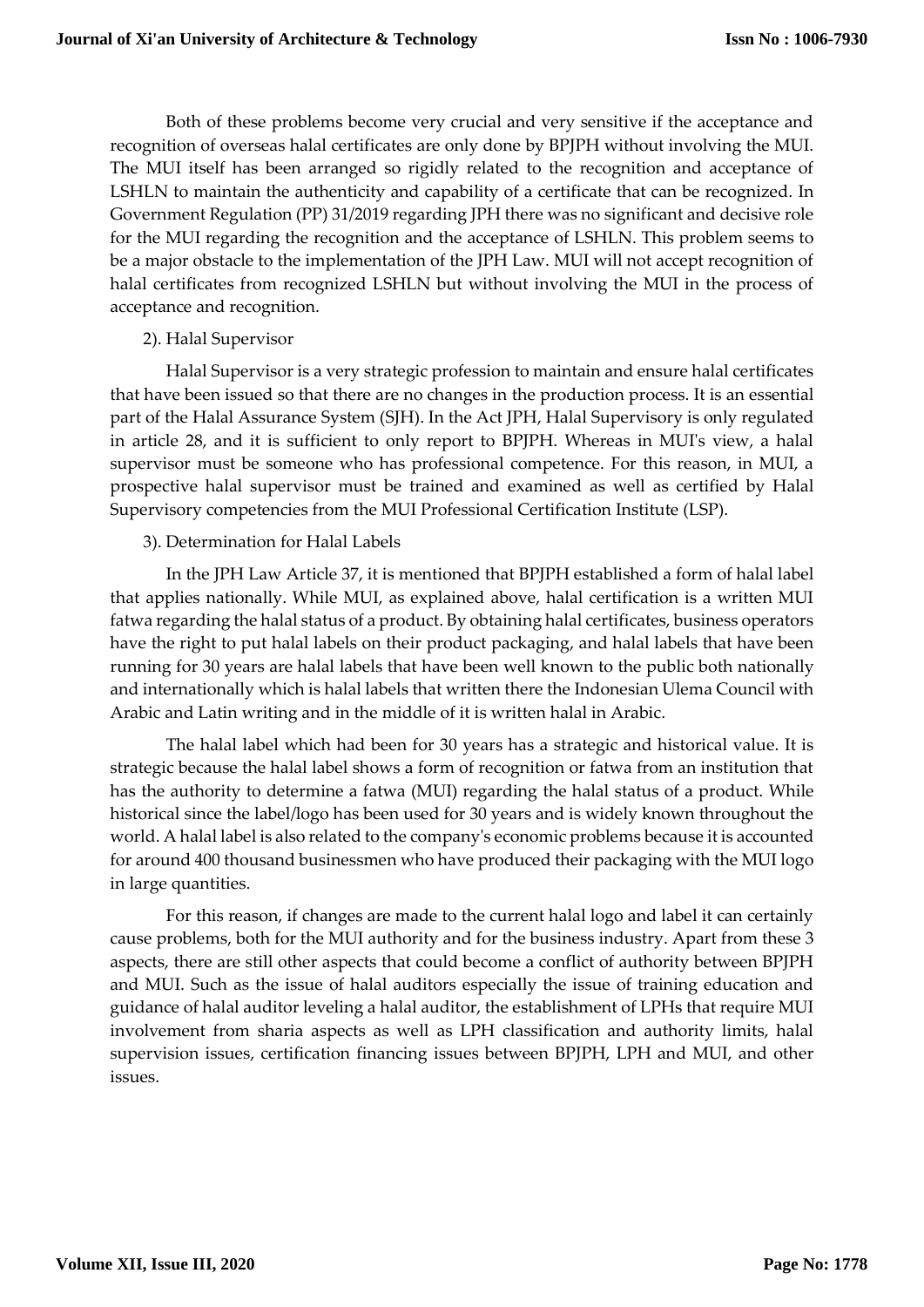Both of these problems become very crucial and very sensitive if the acceptance and recognition of overseas halal certificates are only done by BPJPH without involving the MUI. The MUI itself has been arranged so rigidly related to the recognition and acceptance of LSHLN to maintain the authenticity and capability of a certificate that can be recognized. In Government Regulation (PP) 31/2019 regarding JPH there was no significant and decisive role for the MUI regarding the recognition and the acceptance of LSHLN. This problem seems to be a major obstacle to the implementation of the JPH Law. MUI will not accept recognition of halal certificates from recognized LSHLN but without involving the MUI in the process of acceptance and recognition.

# 2). Halal Supervisor

Halal Supervisor is a very strategic profession to maintain and ensure halal certificates that have been issued so that there are no changes in the production process. It is an essential part of the Halal Assurance System (SJH). In the Act JPH, Halal Supervisory is only regulated in article 28, and it is sufficient to only report to BPJPH. Whereas in MUI's view, a halal supervisor must be someone who has professional competence. For this reason, in MUI, a prospective halal supervisor must be trained and examined as well as certified by Halal Supervisory competencies from the MUI Professional Certification Institute (LSP).

# 3). Determination for Halal Labels

In the JPH Law Article 37, it is mentioned that BPJPH established a form of halal label that applies nationally. While MUI, as explained above, halal certification is a written MUI fatwa regarding the halal status of a product. By obtaining halal certificates, business operators have the right to put halal labels on their product packaging, and halal labels that have been running for 30 years are halal labels that have been well known to the public both nationally and internationally which is halal labels that written there the Indonesian Ulema Council with Arabic and Latin writing and in the middle of it is written halal in Arabic.

The halal label which had been for 30 years has a strategic and historical value. It is strategic because the halal label shows a form of recognition or fatwa from an institution that has the authority to determine a fatwa (MUI) regarding the halal status of a product. While historical since the label/logo has been used for 30 years and is widely known throughout the world. A halal label is also related to the company's economic problems because it is accounted for around 400 thousand businessmen who have produced their packaging with the MUI logo in large quantities.

For this reason, if changes are made to the current halal logo and label it can certainly cause problems, both for the MUI authority and for the business industry. Apart from these 3 aspects, there are still other aspects that could become a conflict of authority between BPJPH and MUI. Such as the issue of halal auditors especially the issue of training education and guidance of halal auditor leveling a halal auditor, the establishment of LPHs that require MUI involvement from sharia aspects as well as LPH classification and authority limits, halal supervision issues, certification financing issues between BPJPH, LPH and MUI, and other issues.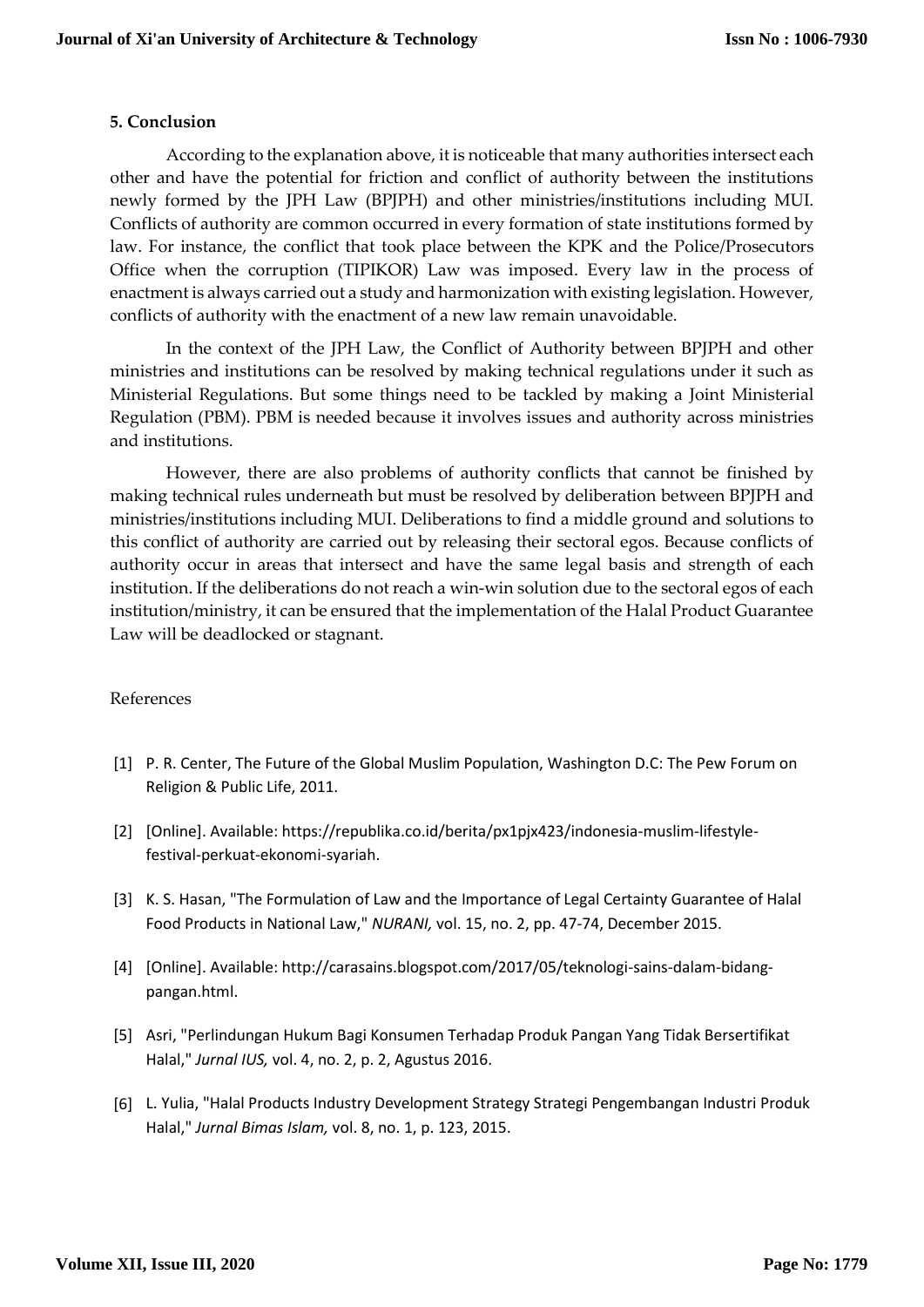#### **5. Conclusion**

According to the explanation above, it is noticeable that many authorities intersect each other and have the potential for friction and conflict of authority between the institutions newly formed by the JPH Law (BPJPH) and other ministries/institutions including MUI. Conflicts of authority are common occurred in every formation of state institutions formed by law. For instance, the conflict that took place between the KPK and the Police/Prosecutors Office when the corruption (TIPIKOR) Law was imposed. Every law in the process of enactment is always carried out a study and harmonization with existing legislation. However, conflicts of authority with the enactment of a new law remain unavoidable.

In the context of the JPH Law, the Conflict of Authority between BPJPH and other ministries and institutions can be resolved by making technical regulations under it such as Ministerial Regulations. But some things need to be tackled by making a Joint Ministerial Regulation (PBM). PBM is needed because it involves issues and authority across ministries and institutions.

However, there are also problems of authority conflicts that cannot be finished by making technical rules underneath but must be resolved by deliberation between BPJPH and ministries/institutions including MUI. Deliberations to find a middle ground and solutions to this conflict of authority are carried out by releasing their sectoral egos. Because conflicts of authority occur in areas that intersect and have the same legal basis and strength of each institution. If the deliberations do not reach a win-win solution due to the sectoral egos of each institution/ministry, it can be ensured that the implementation of the Halal Product Guarantee Law will be deadlocked or stagnant.

# References

- [1] P. R. Center, The Future of the Global Muslim Population, Washington D.C: The Pew Forum on Religion & Public Life, 2011.
- [2] [Online]. Available: https://republika.co.id/berita/px1pjx423/indonesia-muslim-lifestylefestival-perkuat-ekonomi-syariah.
- [3] K. S. Hasan, "The Formulation of Law and the Importance of Legal Certainty Guarantee of Halal Food Products in National Law," *NURANI,* vol. 15, no. 2, pp. 47-74, December 2015.
- [4] [Online]. Available: http://carasains.blogspot.com/2017/05/teknologi-sains-dalam-bidangpangan.html.
- [5] Asri, "Perlindungan Hukum Bagi Konsumen Terhadap Produk Pangan Yang Tidak Bersertifikat Halal," *Jurnal IUS,* vol. 4, no. 2, p. 2, Agustus 2016.
- [6] L. Yulia, "Halal Products Industry Development Strategy Strategi Pengembangan Industri Produk Halal," *Jurnal Bimas Islam,* vol. 8, no. 1, p. 123, 2015.